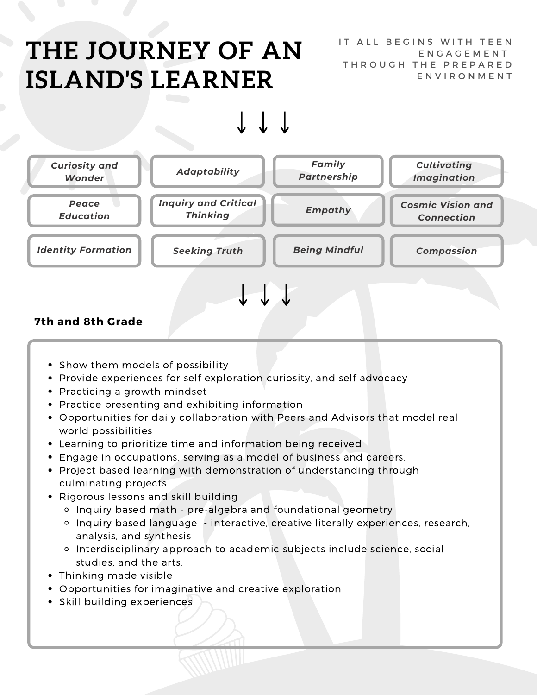## **THE JOURNEY OF AN ISLAND'S LEARNER**

IT ALL BEGINS WITH TEEN E N G A G E M E N T THROUGH THE PREPARED E N V I R O N M E N T

#### *Empathy Inquiry and Critical Thinking Curiosity and Wonder Adaptability Family Partnership Peace Education Cosmic Vision and Connection Cultivating Imagination Identity Formation Seeking Truth Being Mindful Compassion*

#### **7th and 8th Grade**

- Show them models of possibility
- Provide experiences for self exploration curiosity, and self advocacy
- Practicing a growth mindset
- Practice presenting and exhibiting information
- Opportunities for daily collaboration with Peers and Advisors that model real world possibilities
- Learning to prioritize time and information being received
- Engage in occupations, serving as a model of business and careers.
- Project based learning with demonstration of understanding through culminating projects
- Rigorous lessons and skill building
	- Inquiry based math pre-algebra and foundational geometry
	- o Inquiry based language interactive, creative literally experiences, research, analysis, and synthesis
	- Interdisciplinary approach to academic subjects include science, social studies, and the arts.
- Thinking made visible
- Opportunities for imaginative and creative exploration
- **•** Skill building experiences